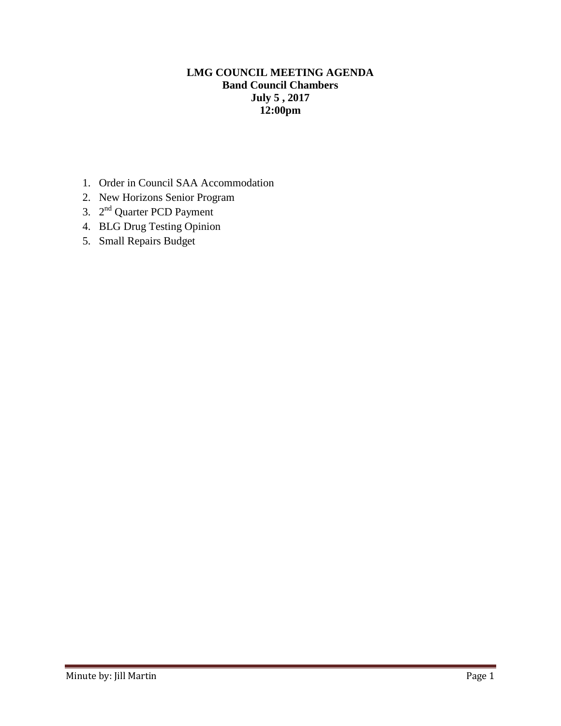### **LMG COUNCIL MEETING AGENDA Band Council Chambers July 5 , 2017 12:00pm**

- 1. Order in Council SAA Accommodation
- 2. New Horizons Senior Program
- 3. 2<sup>nd</sup> Quarter PCD Payment
- 4. BLG Drug Testing Opinion
- 5. Small Repairs Budget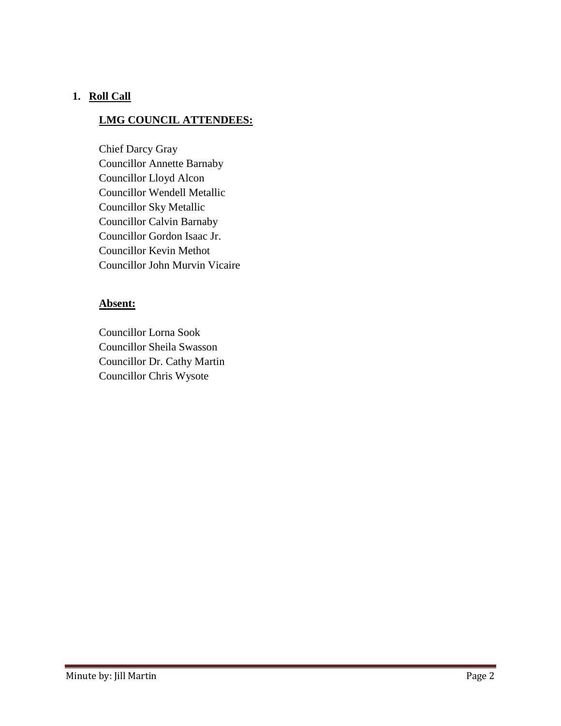### **1. Roll Call**

### **LMG COUNCIL ATTENDEES:**

Chief Darcy Gray Councillor Annette Barnaby Councillor Lloyd Alcon Councillor Wendell Metallic Councillor Sky Metallic Councillor Calvin Barnaby Councillor Gordon Isaac Jr. Councillor Kevin Methot Councillor John Murvin Vicaire

### **Absent:**

Councillor Lorna Sook Councillor Sheila Swasson Councillor Dr. Cathy Martin Councillor Chris Wysote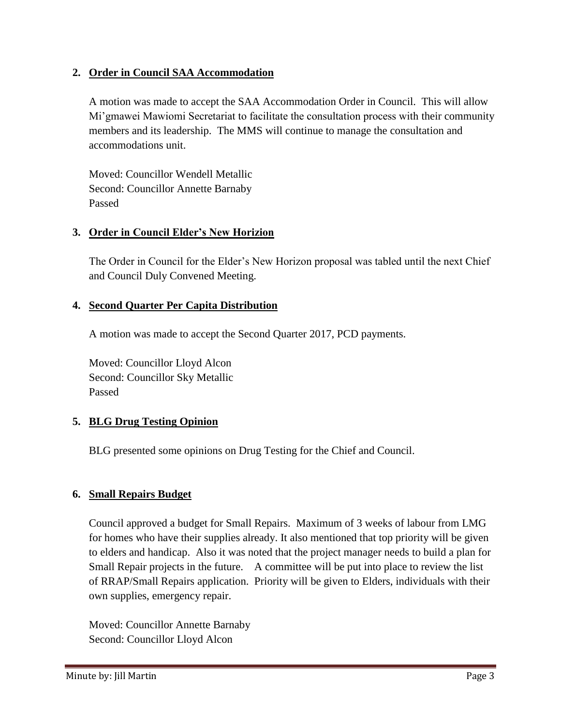### **2. Order in Council SAA Accommodation**

A motion was made to accept the SAA Accommodation Order in Council. This will allow Mi'gmawei Mawiomi Secretariat to facilitate the consultation process with their community members and its leadership. The MMS will continue to manage the consultation and accommodations unit.

Moved: Councillor Wendell Metallic Second: Councillor Annette Barnaby Passed

### **3. Order in Council Elder's New Horizion**

The Order in Council for the Elder's New Horizon proposal was tabled until the next Chief and Council Duly Convened Meeting.

# **4. Second Quarter Per Capita Distribution**

A motion was made to accept the Second Quarter 2017, PCD payments.

Moved: Councillor Lloyd Alcon Second: Councillor Sky Metallic Passed

# **5. BLG Drug Testing Opinion**

BLG presented some opinions on Drug Testing for the Chief and Council.

# **6. Small Repairs Budget**

Council approved a budget for Small Repairs. Maximum of 3 weeks of labour from LMG for homes who have their supplies already. It also mentioned that top priority will be given to elders and handicap. Also it was noted that the project manager needs to build a plan for Small Repair projects in the future. A committee will be put into place to review the list of RRAP/Small Repairs application. Priority will be given to Elders, individuals with their own supplies, emergency repair.

Moved: Councillor Annette Barnaby Second: Councillor Lloyd Alcon